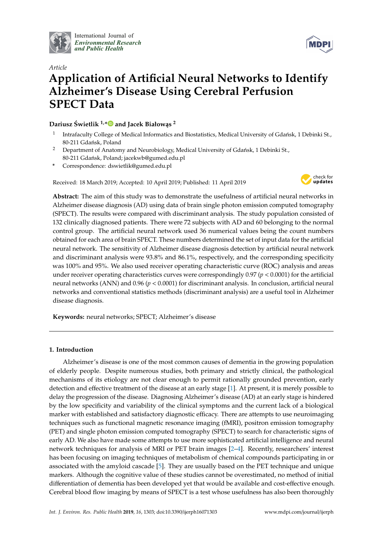

International Journal of *[Environmental Research](http://www.mdpi.com/journal/ijerph) and Public Health*



# *Article* **Application of Artificial Neural Networks to Identify Alzheimer's Disease Using Cerebral Perfusion SPECT Data**

**Dariusz Swietlik ´ 1,[\\*](https://orcid.org/0000-0002-9127-7368) and Jacek Białow ˛as <sup>2</sup>**

- 1 Intrafaculty College of Medical Informatics and Biostatistics, Medical University of Gdańsk, 1 Debinki St., 80-211 Gdańsk, Poland
- <sup>2</sup> Department of Anatomy and Neurobiology, Medical University of Gdańsk, 1 Debinki St., 80-211 Gdańsk, Poland; jacekwb@gumed.edu.pl
- **\*** Correspondence: dswietlik@gumed.edu.pl

Received: 18 March 2019; Accepted: 10 April 2019; Published: 11 April 2019



**Abstract:** The aim of this study was to demonstrate the usefulness of artificial neural networks in Alzheimer disease diagnosis (AD) using data of brain single photon emission computed tomography (SPECT). The results were compared with discriminant analysis. The study population consisted of 132 clinically diagnosed patients. There were 72 subjects with AD and 60 belonging to the normal control group. The artificial neural network used 36 numerical values being the count numbers obtained for each area of brain SPECT. These numbers determined the set of input data for the artificial neural network. The sensitivity of Alzheimer disease diagnosis detection by artificial neural network and discriminant analysis were 93.8% and 86.1%, respectively, and the corresponding specificity was 100% and 95%. We also used receiver operating characteristic curve (ROC) analysis and areas under receiver operating characteristics curves were correspondingly  $0.97 (p < 0.0001)$  for the artificial neural networks (ANN) and 0.96 (*p* < 0.0001) for discriminant analysis. In conclusion, artificial neural networks and conventional statistics methods (discriminant analysis) are a useful tool in Alzheimer disease diagnosis.

**Keywords:** neural networks; SPECT; Alzheimer's disease

#### **1. Introduction**

Alzheimer's disease is one of the most common causes of dementia in the growing population of elderly people. Despite numerous studies, both primary and strictly clinical, the pathological mechanisms of its etiology are not clear enough to permit rationally grounded prevention, early detection and effective treatment of the disease at an early stage [\[1\]](#page-7-0). At present, it is merely possible to delay the progression of the disease. Diagnosing Alzheimer's disease (AD) at an early stage is hindered by the low specificity and variability of the clinical symptoms and the current lack of a biological marker with established and satisfactory diagnostic efficacy. There are attempts to use neuroimaging techniques such as functional magnetic resonance imaging (fMRI), positron emission tomography (PET) and single photon emission computed tomography (SPECT) to search for characteristic signs of early AD. We also have made some attempts to use more sophisticated artificial intelligence and neural network techniques for analysis of MRI or PET brain images [\[2](#page-7-1)[–4\]](#page-7-2). Recently, researchers' interest has been focusing on imaging techniques of metabolism of chemical compounds participating in or associated with the amyloid cascade [\[5\]](#page-7-3). They are usually based on the PET technique and unique markers. Although the cognitive value of these studies cannot be overestimated, no method of initial differentiation of dementia has been developed yet that would be available and cost-effective enough. Cerebral blood flow imaging by means of SPECT is a test whose usefulness has also been thoroughly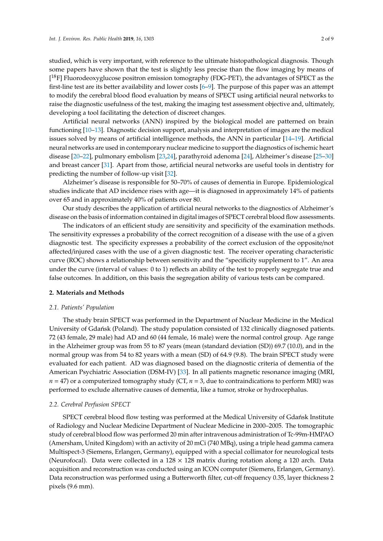studied, which is very important, with reference to the ultimate histopathological diagnosis. Though some papers have shown that the test is slightly less precise than the flow imaging by means of [<sup>18</sup>F] Fluorodeoxyglucose positron emission tomography (FDG-PET), the advantages of SPECT as the first-line test are its better availability and lower costs [\[6–](#page-7-4)[9\]](#page-7-5). The purpose of this paper was an attempt to modify the cerebral blood flood evaluation by means of SPECT using artificial neural networks to raise the diagnostic usefulness of the test, making the imaging test assessment objective and, ultimately, developing a tool facilitating the detection of discreet changes.

Artificial neural networks (ANN) inspired by the biological model are patterned on brain functioning [\[10](#page-7-6)[–13\]](#page-7-7). Diagnostic decision support, analysis and interpretation of images are the medical issues solved by means of artificial intelligence methods, the ANN in particular [\[14](#page-7-8)[–19\]](#page-7-9). Artificial neural networks are used in contemporary nuclear medicine to support the diagnostics of ischemic heart disease [\[20–](#page-7-10)[22\]](#page-8-0), pulmonary embolism [\[23,](#page-8-1)[24\]](#page-8-2), parathyroid adenoma [\[24\]](#page-8-2), Alzheimer's disease [\[25](#page-8-3)[–30\]](#page-8-4) and breast cancer [\[31\]](#page-8-5). Apart from those, artificial neural networks are useful tools in dentistry for predicting the number of follow-up visit [\[32\]](#page-8-6).

Alzheimer's disease is responsible for 50–70% of causes of dementia in Europe. Epidemiological studies indicate that AD incidence rises with age—it is diagnosed in approximately 14% of patients over 65 and in approximately 40% of patients over 80.

Our study describes the application of artificial neural networks to the diagnostics of Alzheimer's disease on the basis of information contained in digital images of SPECT cerebral blood flow assessments.

The indicators of an efficient study are sensitivity and specificity of the examination methods. The sensitivity expresses a probability of the correct recognition of a disease with the use of a given diagnostic test. The specificity expresses a probability of the correct exclusion of the opposite/not affected/injured cases with the use of a given diagnostic test. The receiver operating characteristic curve (ROC) shows a relationship between sensitivity and the "specificity supplement to 1". An area under the curve (interval of values: 0 to 1) reflects an ability of the test to properly segregate true and false outcomes. In addition, on this basis the segregation ability of various tests can be compared.

#### **2. Materials and Methods**

#### *2.1. Patients' Population*

The study brain SPECT was performed in the Department of Nuclear Medicine in the Medical University of Gdańsk (Poland). The study population consisted of 132 clinically diagnosed patients. 72 (43 female, 29 male) had AD and 60 (44 female, 16 male) were the normal control group. Age range in the Alzheimer group was from 55 to 87 years (mean (standard deviation (SD)) 69.7 (10.0), and in the normal group was from 54 to 82 years with a mean (SD) of 64.9 (9.8). The brain SPECT study were evaluated for each patient. AD was diagnosed based on the diagnostic criteria of dementia of the American Psychiatric Association (DSM-IV) [\[33\]](#page-8-7). In all patients magnetic resonance imaging (MRI,  $n = 47$ ) or a computerized tomography study (CT,  $n = 3$ , due to contraindications to perform MRI) was performed to exclude alternative causes of dementia, like a tumor, stroke or hydrocephalus.

#### *2.2. Cerebral Perfusion SPECT*

SPECT cerebral blood flow testing was performed at the Medical University of Gdańsk Institute of Radiology and Nuclear Medicine Department of Nuclear Medicine in 2000–2005. The tomographic study of cerebral blood flow was performed 20 min after intravenous administration of Tc-99m-HMPAO (Amersham, United Kingdom) with an activity of 20 mCi (740 MBq), using a triple head gamma camera Multispect-3 (Siemens, Erlangen, Germany), equipped with a special collimator for neurological tests (Neurofocal). Data were collected in a  $128 \times 128$  matrix during rotation along a 120 arch. Data acquisition and reconstruction was conducted using an ICON computer (Siemens, Erlangen, Germany). Data reconstruction was performed using a Butterworth filter, cut-off frequency 0.35, layer thickness 2 pixels (9.6 mm).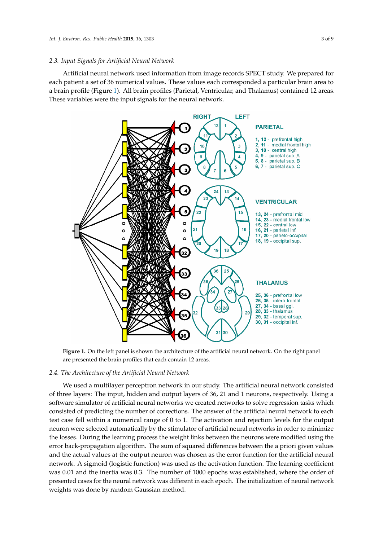### *2.3. Input Signals for Artificial Neural Network 2.3. Input Signals for Artificial Neural Network*

Artificial neural network used information from image records SPECT study. We prepared for Artificial neural network used information from image records SPECT study. We prepared for each patient a set of 36 numerical values. These values each corresponded a particular brain area to a brain profile (Figure [1\)](#page-2-0). All brain profiles (Parietal, Ventricular, and Thalamus) contained 12 areas. brain profile (Figure 1). All brain profiles (Parietal, Ventricular, and Thalamus) contained 12 areas. These variables were the input signals for the neural network. These variables were the input signals for the neural network.

<span id="page-2-0"></span>

are presented the brain profiles that each contain 12 areas. **Figure 1.** On the left panel is shown the architecture of the artificial neural network. On the right panel

## 2.4. *The Architecture of the Artificial Neural Network*

We used a multilayer perceptron network in our study. The artificial neural network consisted of three layers: The input, hidden and output layers of 36, 21 and 1 neurons, respectively. Using a software simulator of artificial neural networks we created networks to solve regression tasks which consisted of predicting the number of corrections. The answer of the artificial neural network to each test case fell within a numerical range of 0 to 1. The activation and rejection levels for the output neuron were selected automatically by the stimulator of artificial neural networks in order to minimize the losses. During the learning process the weight links between the neurons were modified using the error back-propagation algorithm. The sum of squared differences between the a priori given values and the actual values at the output neuron was chosen as the error function for the artificial neural and the output neural state of the artificial neural network. A sigmoid (logistic function) was used as the activation function. The learning coefficient was 0.01 and the inertia was 0.3. The number of 1000 epochs was established, where the order of  $\frac{1}{2}$ presented cases for the neural network was different in each epoch. The initialization of neural network weights was done by random Gaussian method.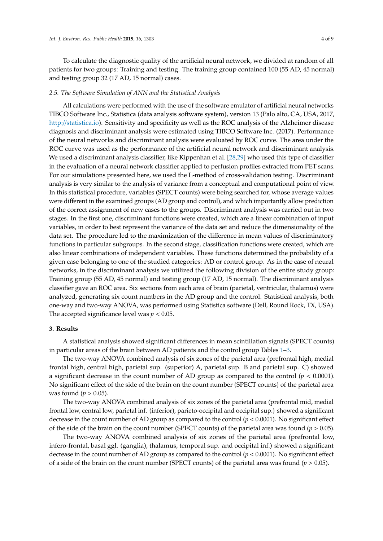To calculate the diagnostic quality of the artificial neural network, we divided at random of all patients for two groups: Training and testing. The training group contained 100 (55 AD, 45 normal) and testing group 32 (17 AD, 15 normal) cases.

#### *2.5. The Software Simulation of ANN and the Statistical Analysis*

All calculations were performed with the use of the software emulator of artificial neural networks TIBCO Software Inc., Statistica (data analysis software system), version 13 (Palo alto, CA, USA, 2017, http://[statistica.io\)](http://statistica.io). Sensitivity and specificity as well as the ROC analysis of the Alzheimer disease diagnosis and discriminant analysis were estimated using TIBCO Software Inc. (2017). Performance of the neural networks and discriminant analysis were evaluated by ROC curve. The area under the ROC curve was used as the performance of the artificial neural network and discriminant analysis. We used a discriminant analysis classifier, like Kippenhan et al. [\[28](#page-8-8)[,29\]](#page-8-9) who used this type of classifier in the evaluation of a neural network classifier applied to perfusion profiles extracted from PET scans. For our simulations presented here, we used the L-method of cross-validation testing. Discriminant analysis is very similar to the analysis of variance from a conceptual and computational point of view. In this statistical procedure, variables (SPECT counts) were being searched for, whose average values were different in the examined groups (AD group and control), and which importantly allow prediction of the correct assignment of new cases to the groups. Discriminant analysis was carried out in two stages. In the first one, discriminant functions were created, which are a linear combination of input variables, in order to best represent the variance of the data set and reduce the dimensionality of the data set. The procedure led to the maximization of the difference in mean values of discriminatory functions in particular subgroups. In the second stage, classification functions were created, which are also linear combinations of independent variables. These functions determined the probability of a given case belonging to one of the studied categories: AD or control group. As in the case of neural networks, in the discriminant analysis we utilized the following division of the entire study group: Training group (55 AD, 45 normal) and testing group (17 AD, 15 normal). The discriminant analysis classifier gave an ROC area. Six sections from each area of brain (parietal, ventricular, thalamus) were analyzed, generating six count numbers in the AD group and the control. Statistical analysis, both one-way and two-way ANOVA, was performed using Statistica software (Dell, Round Rock, TX, USA). The accepted significance level was  $p < 0.05$ .

#### **3. Results**

A statistical analysis showed significant differences in mean scintillation signals (SPECT counts) in particular areas of the brain between AD patients and the control group Tables [1–](#page-4-0)[3.](#page-5-0)

The two-way ANOVA combined analysis of six zones of the parietal area (prefrontal high, medial frontal high, central high, parietal sup. (superior) A, parietal sup. B and parietal sup. C) showed a significant decrease in the count number of AD group as compared to the control  $(p < 0.0001)$ . No significant effect of the side of the brain on the count number (SPECT counts) of the parietal area was found ( $p > 0.05$ ).

The two-way ANOVA combined analysis of six zones of the parietal area (prefrontal mid, medial frontal low, central low, parietal inf. (inferior), parieto-occipital and occipital sup.) showed a significant decrease in the count number of AD group as compared to the control (*p* < 0.0001). No significant effect of the side of the brain on the count number (SPECT counts) of the parietal area was found ( $p > 0.05$ ).

The two-way ANOVA combined analysis of six zones of the parietal area (prefrontal low, infero-frontal, basal ggl. (ganglia), thalamus, temporal sup. and occipital inf.) showed a significant decrease in the count number of AD group as compared to the control (*p* < 0.0001). No significant effect of a side of the brain on the count number (SPECT counts) of the parietal area was found ( $p > 0.05$ ).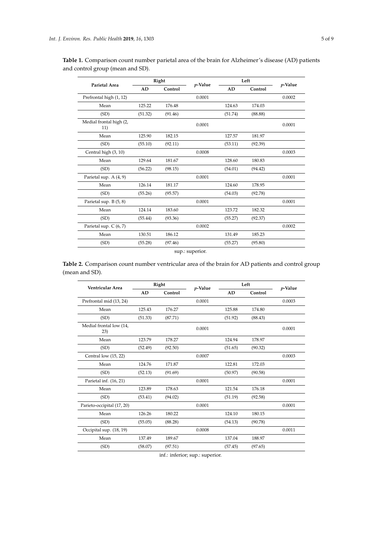| <i>p</i> -Value<br>Control                     |
|------------------------------------------------|
|                                                |
| 0.0002                                         |
| 174.03                                         |
| (88.88)                                        |
| 0.0001                                         |
|                                                |
| (92.39)                                        |
| 0.0003                                         |
|                                                |
| (94.42)                                        |
| 0.0001                                         |
|                                                |
| (92.78)                                        |
| 0.0001                                         |
|                                                |
| (92.37)                                        |
| 0.0002                                         |
|                                                |
| (95.80)                                        |
| 181.97<br>180.83<br>178.95<br>182.32<br>185.23 |

<span id="page-4-0"></span>**Table 1.** Comparison count number parietal area of the brain for Alzheimer's disease (AD) patients and control group (mean and SD).

sup.: superior.

**Table 2.** Comparison count number ventricular area of the brain for AD patients and control group (mean and SD).

| Ventricular Area               |         |         | Right  |         | Left<br><i>p</i> -Value |        | <i>p</i> -Value |
|--------------------------------|---------|---------|--------|---------|-------------------------|--------|-----------------|
|                                | AD      | Control |        | AD      | Control                 |        |                 |
| Prefrontal mid (13, 24)        |         |         | 0.0001 |         |                         | 0.0003 |                 |
| Mean                           | 125.43  | 176.27  |        | 125.88  | 174.80                  |        |                 |
| (SD)                           | (51.33) | (87.71) |        | (51.92) | (88.43)                 |        |                 |
| Medial frontal low (14,<br>23) |         |         | 0.0001 |         |                         | 0.0001 |                 |
| Mean                           | 123.79  | 178.27  |        | 124.94  | 178.97                  |        |                 |
| (SD)                           | (52.49) | (92.50) |        | (51.65) | (90.32)                 |        |                 |
| Central low (15, 22)           |         |         | 0.0007 |         |                         | 0.0003 |                 |
| Mean                           | 124.76  | 171.87  |        | 122.81  | 172.03                  |        |                 |
| (SD)                           | (52.13) | (91.69) |        | (50.97) | (90.58)                 |        |                 |
| Parietal inf. (16, 21)         |         |         | 0.0001 |         |                         | 0.0001 |                 |
| Mean                           | 123.89  | 178.63  |        | 121.54  | 176.18                  |        |                 |
| (SD)                           | (53.41) | (94.02) |        | (51.19) | (92.58)                 |        |                 |
| Parieto-occipital (17, 20)     |         |         | 0.0001 |         |                         | 0.0001 |                 |
| Mean                           | 126.26  | 180.22  |        | 124.10  | 180.15                  |        |                 |
| (SD)                           | (55.05) | (88.28) |        | (54.13) | (90.78)                 |        |                 |
| Occipital sup. (18, 19)        |         |         | 0.0008 |         |                         | 0.0011 |                 |
| Mean                           | 137.49  | 189.67  |        | 137.04  | 188.97                  |        |                 |
| (SD)                           | (58.07) | (97.51) |        | (57.45) | (97.65)                 |        |                 |

inf.: inferior; sup.: superior.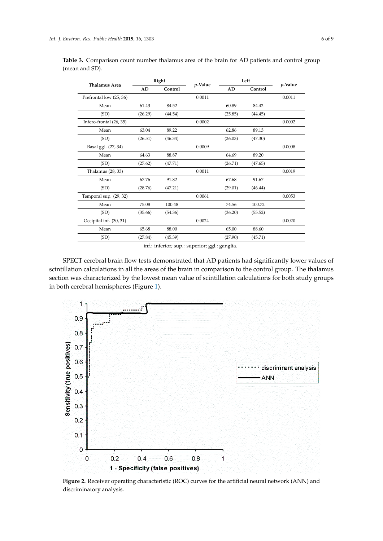discriminatory analysis.

| <b>Thalamus Area</b>    | Right   |         | <i>p</i> -Value | Left    |         | <i>p</i> -Value |
|-------------------------|---------|---------|-----------------|---------|---------|-----------------|
|                         | AD      | Control |                 | AD      | Control |                 |
| Prefrontal low (25, 36) |         |         | 0.0011          |         |         | 0.0011          |
| Mean                    | 61.43   | 84.52   |                 | 60.89   | 84.42   |                 |
| (SD)                    | (26.29) | (44.54) |                 | (25.85) | (44.45) |                 |
| Infero-frontal (26, 35) |         |         | 0.0002          |         |         | 0.0002          |
| Mean                    | 63.04   | 89.22   |                 | 62.86   | 89.13   |                 |
| (SD)                    | (26.51) | (46.34) |                 | (26.03) | (47.30) |                 |
| Basal ggl. (27, 34)     |         |         | 0.0009          |         |         | 0.0008          |
| Mean                    | 64.63   | 88.87   |                 | 64.69   | 89.20   |                 |
| (SD)                    | (27.62) | (47.71) |                 | (26.71) | (47.65) |                 |
| Thalamus (28, 33)       |         |         | 0.0011          |         |         | 0.0019          |
| Mean                    | 67.76   | 91.82   |                 | 67.68   | 91.67   |                 |
| (SD)                    | (28.76) | (47.21) |                 | (29.01) | (46.44) |                 |
| Temporal sup. (29, 32)  |         |         | 0.0061          |         |         | 0.0053          |
| Mean                    | 75.08   | 100.48  |                 | 74.56   | 100.72  |                 |
| (SD)                    | (35.66) | (54.36) |                 | (36.20) | (55.52) |                 |
| Occipital inf. (30, 31) |         |         | 0.0024          |         |         | 0.0020          |
| Mean                    | 65.68   | 88.00   |                 | 65.00   | 88.60   |                 |
| (SD)                    | (27.84) | (45.39) |                 | (27.90) | (45.71) |                 |
|                         |         |         |                 |         |         |                 |

<span id="page-5-0"></span>**Table 3.** Comparison count number thalamus area of the brain for AD patients and control group (mean and SD).

inf.: inferior; sup.: superior; ggl.: ganglia.

SPECT cerebral brain flow tests demonstrated that AD patients had significantly lower values of scintillation calculations in all the areas of the brain in comparison to the control group. The thalamus section was characterized by the lowest mean value of scintillation calculations for both study groups *Int. J. Environ. Res. Public Health* **2019**, *16*, x 7 of 9 in both cerebral hemispheres (Figure [1\)](#page-2-0).

<span id="page-5-1"></span>

**Figure 2. Alternations** characteristic (ROC) curves for the artificial network ( $R$ ) and  $\overline{R}$  and  $\overline{R}$  are  $\overline{R}$  and  $\overline{R}$  and  $\overline{R}$  and  $\overline{R}$  are  $\overline{R}$  and  $\overline{R}$  and  $\overline{R}$  are  $\overline{R}$  and  $\$ **Figure 2.** Receiver operating characteristic (ROC) curves for the artificial neural network (ANN) and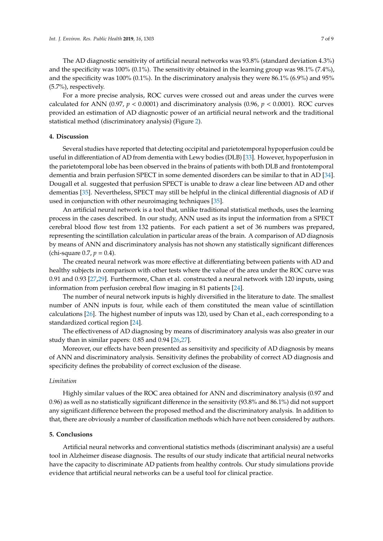The AD diagnostic sensitivity of artificial neural networks was 93.8% (standard deviation 4.3%) and the specificity was 100% (0.1%). The sensitivity obtained in the learning group was 98.1% (7.4%), and the specificity was 100% (0.1%). In the discriminatory analysis they were 86.1% (6.9%) and 95% (5.7%), respectively.

For a more precise analysis, ROC curves were crossed out and areas under the curves were calculated for ANN (0.97,  $p < 0.0001$ ) and discriminatory analysis (0.96,  $p < 0.0001$ ). ROC curves provided an estimation of AD diagnostic power of an artificial neural network and the traditional statistical method (discriminatory analysis) (Figure [2\)](#page-5-1).

#### **4. Discussion**

Several studies have reported that detecting occipital and parietotemporal hypoperfusion could be useful in differentiation of AD from dementia with Lewy bodies (DLB) [\[33\]](#page-8-7). However, hypoperfusion in the parietotemporal lobe has been observed in the brains of patients with both DLB and frontotemporal dementia and brain perfusion SPECT in some demented disorders can be similar to that in AD [\[34\]](#page-8-10). Dougall et al. suggested that perfusion SPECT is unable to draw a clear line between AD and other dementias [\[35\]](#page-8-11). Nevertheless, SPECT may still be helpful in the clinical differential diagnosis of AD if used in conjunction with other neuroimaging techniques [\[35\]](#page-8-11).

An artificial neural network is a tool that, unlike traditional statistical methods, uses the learning process in the cases described. In our study, ANN used as its input the information from a SPECT cerebral blood flow test from 132 patients. For each patient a set of 36 numbers was prepared, representing the scintillation calculation in particular areas of the brain. A comparison of AD diagnosis by means of ANN and discriminatory analysis has not shown any statistically significant differences (chi-square 0.7,  $p = 0.4$ ).

The created neural network was more effective at differentiating between patients with AD and healthy subjects in comparison with other tests where the value of the area under the ROC curve was 0.91 and 0.93 [\[27,](#page-8-12)[29\]](#page-8-9). Furthermore, Chan et al. constructed a neural network with 120 inputs, using information from perfusion cerebral flow imaging in 81 patients [\[24\]](#page-8-2).

The number of neural network inputs is highly diversified in the literature to date. The smallest number of ANN inputs is four, while each of them constituted the mean value of scintillation calculations [\[26\]](#page-8-13). The highest number of inputs was 120, used by Chan et al., each corresponding to a standardized cortical region [\[24\]](#page-8-2).

The effectiveness of AD diagnosing by means of discriminatory analysis was also greater in our study than in similar papers: 0.85 and 0.94 [\[26,](#page-8-13)[27\]](#page-8-12).

Moreover, our effects have been presented as sensitivity and specificity of AD diagnosis by means of ANN and discriminatory analysis. Sensitivity defines the probability of correct AD diagnosis and specificity defines the probability of correct exclusion of the disease.

#### *Limitation*

Highly similar values of the ROC area obtained for ANN and discriminatory analysis (0.97 and 0.96) as well as no statistically significant difference in the sensitivity (93.8% and 86.1%) did not support any significant difference between the proposed method and the discriminatory analysis. In addition to that, there are obviously a number of classification methods which have not been considered by authors.

#### **5. Conclusions**

Artificial neural networks and conventional statistics methods (discriminant analysis) are a useful tool in Alzheimer disease diagnosis. The results of our study indicate that artificial neural networks have the capacity to discriminate AD patients from healthy controls. Our study simulations provide evidence that artificial neural networks can be a useful tool for clinical practice.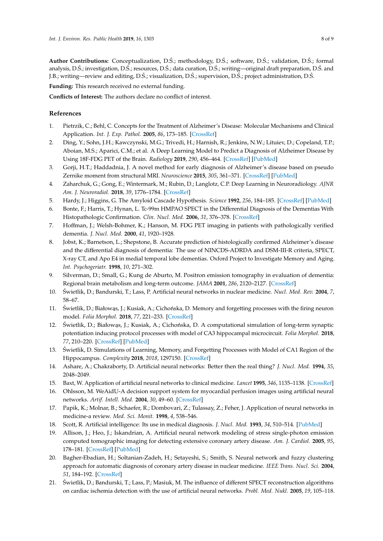Author Contributions: Conceptualization, D.S.; methodology, D.S.; software, D.S.; validation, D.S.; formal analysis, D.S.; investigation, D.S.; resources, D.S.; data curation, D.S.; writing—original draft preparation, D.S. and J.B.; writing—review and editing, D.Ś.; visualization, D.Ś.; supervision, D.Ś.; project administration, D.Ś.

**Funding:** This research received no external funding.

**Conflicts of Interest:** The authors declare no conflict of interest.

#### **References**

- <span id="page-7-0"></span>1. Pietrzik, C.; Behl, C. Concepts for the Treatment of Alzheimer's Disease: Molecular Mechanisms and Clinical Application. *Int. J. Exp. Pathol.* **2005**, *86*, 173–185. [\[CrossRef\]](http://dx.doi.org/10.1111/j.0959-9673.2005.00435.x)
- <span id="page-7-1"></span>2. Ding, Y.; Sohn, J.H.; Kawczynski, M.G.; Trivedi, H.; Harnish, R.; Jenkins, N.W.; Lituiev, D.; Copeland, T.P.; Aboian, M.S.; Aparici, C.M.; et al. A Deep Learning Model to Predict a Diagnosis of Alzheimer Disease by Using 18F-FDG PET of the Brain. *Radiology* **2019**, *290*, 456–464. [\[CrossRef\]](http://dx.doi.org/10.1148/radiol.2018180958) [\[PubMed\]](http://www.ncbi.nlm.nih.gov/pubmed/30398430)
- 3. Gorji, H.T.; Haddadnia, J. A novel method for early diagnosis of Alzheimer's disease based on pseudo Zernike moment from structural MRI. *Neuroscience* **2015**, *305*, 361–371. [\[CrossRef\]](http://dx.doi.org/10.1016/j.neuroscience.2015.08.013) [\[PubMed\]](http://www.ncbi.nlm.nih.gov/pubmed/26265552)
- <span id="page-7-2"></span>4. Zaharchuk, G.; Gong, E.; Wintermark, M.; Rubin, D.; Langlotz, C.P. Deep Learning in Neuroradiology. *AJNR Am. J. Neuroradiol.* **2018**, *39*, 1776–1784. [\[CrossRef\]](http://dx.doi.org/10.3174/ajnr.A5543)
- <span id="page-7-3"></span>5. Hardy, J.; Higgins, G. The Amyloid Cascade Hypothesis. *Science* **1992**, *256*, 184–185. [\[CrossRef\]](http://dx.doi.org/10.1126/science.1566067) [\[PubMed\]](http://www.ncbi.nlm.nih.gov/pubmed/1566067)
- <span id="page-7-4"></span>6. Bonte, F.; Harris, T.; Hynan, L. Tc-99m HMPAO SPECT in the Differential Diagnosis of the Dementias With Histopathologic Confirmation. *Clin. Nucl. Med.* **2006**, *31*, 376–378. [\[CrossRef\]](http://dx.doi.org/10.1097/01.rlu.0000222736.81365.63)
- 7. Hoffman, J.; Welsh-Bohmer, K.; Hanson, M. FDG PET imaging in patients with pathologically verified dementia. *J. Nucl. Med.* **2000**, *41*, 1920–1928.
- 8. Jobst, K.; Barnetson, L.; Shepstone, B. Accurate prediction of histologically confirmed Alzheimer's disease and the differential diagnosis of dementia: The use of NINCDS-ADRDA and DSM-III-R criteria, SPECT, X-ray CT, and Apo E4 in medial temporal lobe dementias. Oxford Project to Investigate Memory and Aging. *Int. Psychogeriatr.* **1998**, *10*, 271–302.
- <span id="page-7-5"></span>9. Silverman, D.; Small, G.; Kung de Aburto, M. Positron emission tomography in evaluation of dementia: Regional brain metabolism and long-term outcome. *JAMA* **2001**, *286*, 2120–2127. [\[CrossRef\]](http://dx.doi.org/10.1001/jama.286.17.2120)
- <span id="page-7-6"></span>10. Swietlik, D.; Bandurski, T.; Lass, P. Artificial neural networks in nuclear medicine. ´ *Nucl. Med. Rev.* **2004**, *7*, 58–67.
- 11. Świetlik, D.; Białowąs, J.; Kusiak, A.; Cichońska, D. Memory and forgetting processes with the firing neuron model. *Folia Morphol.* **2018**, *77*, 221–233. [\[CrossRef\]](http://dx.doi.org/10.5603/FM.a2018.0043)
- 12. Świetlik, D.; Białowąs, J.; Kusiak, A.; Cichońska, D. A computational simulation of long-term synaptic potentiation inducing protocol processes with model of CA3 hippocampal microcircuit. *Folia Morphol.* **2018**, *77*, 210–220. [\[CrossRef\]](http://dx.doi.org/10.5603/FM.a2018.0042) [\[PubMed\]](http://www.ncbi.nlm.nih.gov/pubmed/29802713)
- <span id="page-7-7"></span>13. Swietlik, D. Simulations of Learning, Memory, and Forgetting Processes with Model of CA1 Region of the ´ Hippocampus. *Complexity* **2018**, *2018*, 1297150. [\[CrossRef\]](http://dx.doi.org/10.1155/2018/1297150)
- <span id="page-7-8"></span>14. Ashare, A.; Chakraborty, D. Artificial neural networks: Better then the real thing? *J. Nucl. Med.* **1994**, *35*, 2048–2049.
- 15. Baxt, W. Application of artificial neural networks to clinical medicine. *Lancet* **1995**, *346*, 1135–1138. [\[CrossRef\]](http://dx.doi.org/10.1016/S0140-6736(95)91804-3)
- 16. Ohlsson, M. WeAidU-A decision support system for myocardial perfusion images using artificial neural networks. *Artif. Intell. Med.* **2004**, *30*, 49–60. [\[CrossRef\]](http://dx.doi.org/10.1016/S0933-3657(03)00050-2)
- 17. Papik, K.; Molnar, B.; Schaefer, R.; Dombovari, Z.; Tulassay, Z.; Feher, J. Application of neural networks in medicine-a review. *Med. Sci. Monit.* **1998**, *4*, 538–546.
- 18. Scott, R. Artificial intelligence: Its use in medical diagnosis. *J. Nucl. Med.* **1993**, *34*, 510–514. [\[PubMed\]](http://www.ncbi.nlm.nih.gov/pubmed/8441047)
- <span id="page-7-9"></span>19. Allison, J.; Heo, J.; Iskandrian, A. Artificial neural network modeling of stress single-photon emission computed tomographic imaging for detecting extensive coronary artery disease. *Am. J. Cardiol.* **2005**, *95*, 178–181. [\[CrossRef\]](http://dx.doi.org/10.1016/j.amjcard.2004.09.003) [\[PubMed\]](http://www.ncbi.nlm.nih.gov/pubmed/15642548)
- <span id="page-7-10"></span>20. Bagher-Ebadian, H.; Soltanian-Zadeh, H.; Setayeshi, S.; Smith, S. Neural network and fuzzy clustering approach for automatic diagnosis of coronary artery disease in nuclear medicine. *IEEE Trans. Nucl. Sci.* **2004**, *51*, 184–192. [\[CrossRef\]](http://dx.doi.org/10.1109/TNS.2003.823047)
- 21. Świetlik, D.; Bandurski, T.; Lass, P.; Masiuk, M. The influence of different SPECT reconstruction algorithms on cardiac ischemia detection with the use of artificial neural networks. *Probl. Med. Nukl.* **2005**, *19*, 105–118.